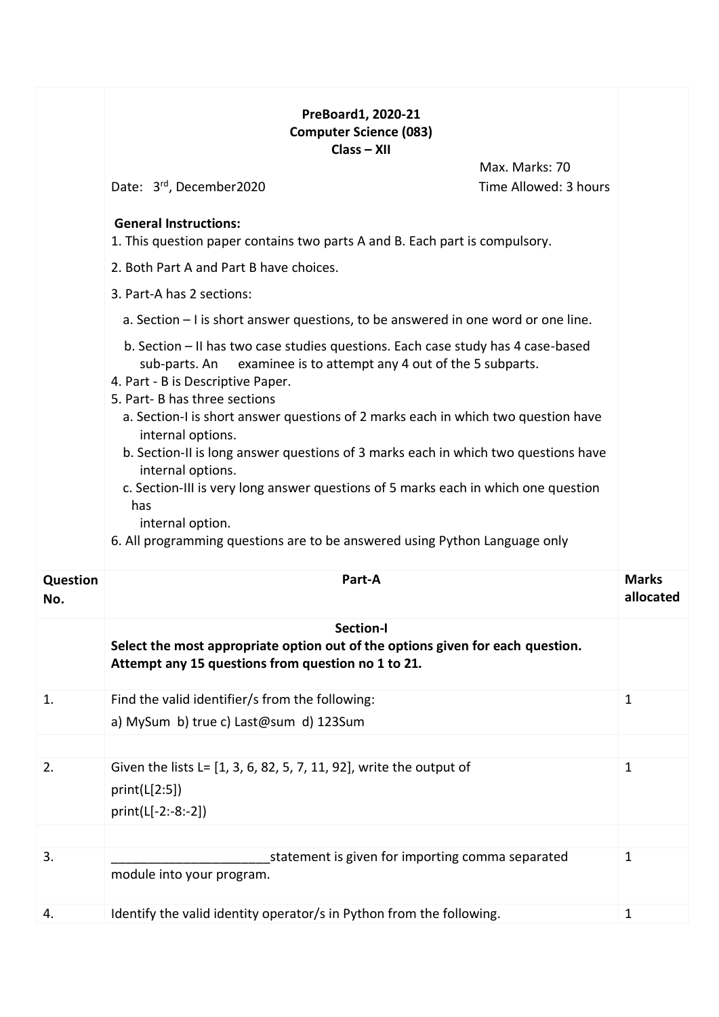## **PreBoard1, 2020-21 Computer Science (083) Class – XII**

|                        | Max. Marks: 70<br>Date: 3rd, December2020                                                                                                                                                                                                                                                                                                                                                                                                                                                                                                                                                                                                          | Time Allowed: 3 hours |                           |
|------------------------|----------------------------------------------------------------------------------------------------------------------------------------------------------------------------------------------------------------------------------------------------------------------------------------------------------------------------------------------------------------------------------------------------------------------------------------------------------------------------------------------------------------------------------------------------------------------------------------------------------------------------------------------------|-----------------------|---------------------------|
|                        | <b>General Instructions:</b><br>1. This question paper contains two parts A and B. Each part is compulsory.                                                                                                                                                                                                                                                                                                                                                                                                                                                                                                                                        |                       |                           |
|                        | 2. Both Part A and Part B have choices.                                                                                                                                                                                                                                                                                                                                                                                                                                                                                                                                                                                                            |                       |                           |
|                        | 3. Part-A has 2 sections:                                                                                                                                                                                                                                                                                                                                                                                                                                                                                                                                                                                                                          |                       |                           |
|                        | a. Section $-1$ is short answer questions, to be answered in one word or one line.                                                                                                                                                                                                                                                                                                                                                                                                                                                                                                                                                                 |                       |                           |
|                        | b. Section - II has two case studies questions. Each case study has 4 case-based<br>examinee is to attempt any 4 out of the 5 subparts.<br>sub-parts. An<br>4. Part - B is Descriptive Paper.<br>5. Part- B has three sections<br>a. Section-I is short answer questions of 2 marks each in which two question have<br>internal options.<br>b. Section-II is long answer questions of 3 marks each in which two questions have<br>internal options.<br>c. Section-III is very long answer questions of 5 marks each in which one question<br>has<br>internal option.<br>6. All programming questions are to be answered using Python Language only |                       |                           |
| <b>Question</b><br>No. | Part-A                                                                                                                                                                                                                                                                                                                                                                                                                                                                                                                                                                                                                                             |                       | <b>Marks</b><br>allocated |
|                        | Section-I<br>Select the most appropriate option out of the options given for each question.<br>Attempt any 15 questions from question no 1 to 21.                                                                                                                                                                                                                                                                                                                                                                                                                                                                                                  |                       |                           |
| 1.                     | Find the valid identifier/s from the following:                                                                                                                                                                                                                                                                                                                                                                                                                                                                                                                                                                                                    | 1                     |                           |
|                        | a) MySum b) true c) Last@sum d) 123Sum                                                                                                                                                                                                                                                                                                                                                                                                                                                                                                                                                                                                             |                       |                           |
|                        |                                                                                                                                                                                                                                                                                                                                                                                                                                                                                                                                                                                                                                                    |                       |                           |
| 2.                     | Given the lists L= [1, 3, 6, 82, 5, 7, 11, 92], write the output of<br>print(L[2:5])<br>print(L[-2:-8:-2])                                                                                                                                                                                                                                                                                                                                                                                                                                                                                                                                         | $\mathbf 1$           |                           |
|                        |                                                                                                                                                                                                                                                                                                                                                                                                                                                                                                                                                                                                                                                    |                       |                           |
| 3.                     | statement is given for importing comma separated<br>module into your program.                                                                                                                                                                                                                                                                                                                                                                                                                                                                                                                                                                      | $\mathbf{1}$          |                           |
| 4.                     | Identify the valid identity operator/s in Python from the following.                                                                                                                                                                                                                                                                                                                                                                                                                                                                                                                                                                               | $\mathbf{1}$          |                           |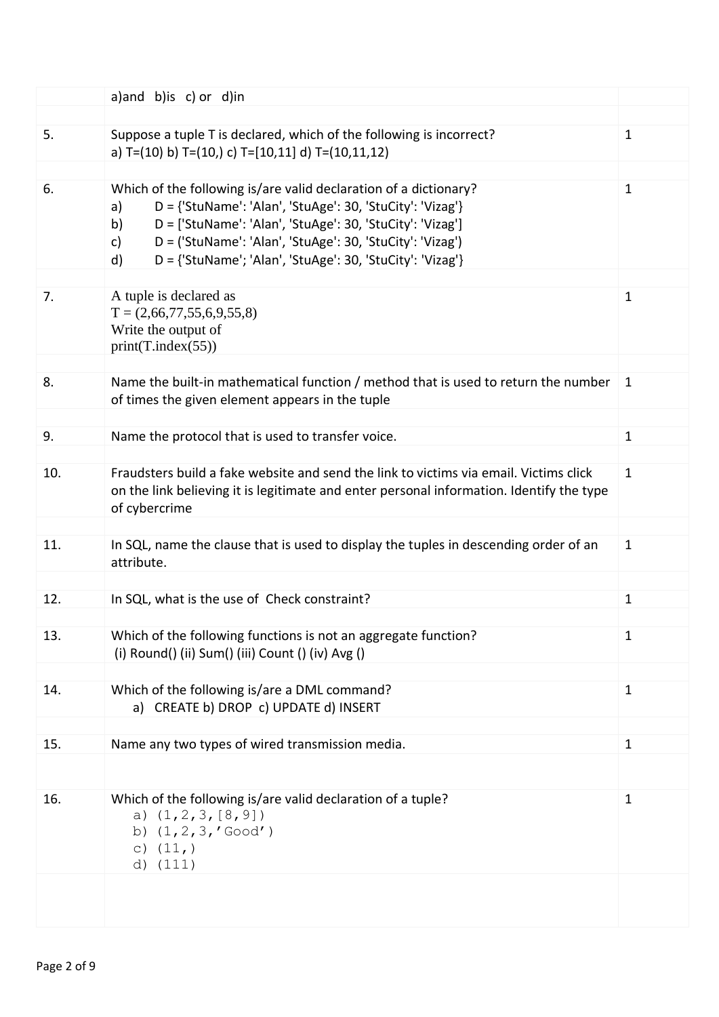|     | a)and b)is c) or d)in                                                                                                                                                                                                                                                                                                                        |              |
|-----|----------------------------------------------------------------------------------------------------------------------------------------------------------------------------------------------------------------------------------------------------------------------------------------------------------------------------------------------|--------------|
|     |                                                                                                                                                                                                                                                                                                                                              |              |
| 5.  | Suppose a tuple T is declared, which of the following is incorrect?<br>a) T=(10) b) T=(10,) c) T=[10,11] d) T=(10,11,12)                                                                                                                                                                                                                     | $\mathbf{1}$ |
|     |                                                                                                                                                                                                                                                                                                                                              |              |
| 6.  | Which of the following is/are valid declaration of a dictionary?<br>D = {'StuName': 'Alan', 'StuAge': 30, 'StuCity': 'Vizag'}<br>a)<br>D = ['StuName': 'Alan', 'StuAge': 30, 'StuCity': 'Vizag']<br>b)<br>D = ('StuName': 'Alan', 'StuAge': 30, 'StuCity': 'Vizag')<br>c)<br>D = {'StuName'; 'Alan', 'StuAge': 30, 'StuCity': 'Vizag'}<br>d) | $\mathbf 1$  |
|     |                                                                                                                                                                                                                                                                                                                                              |              |
| 7.  | A tuple is declared as<br>$T = (2,66,77,55,6,9,55,8)$<br>Write the output of<br>print(T.index(55))                                                                                                                                                                                                                                           | 1            |
|     |                                                                                                                                                                                                                                                                                                                                              |              |
| 8.  | Name the built-in mathematical function / method that is used to return the number<br>of times the given element appears in the tuple                                                                                                                                                                                                        | 1            |
|     |                                                                                                                                                                                                                                                                                                                                              |              |
| 9.  | Name the protocol that is used to transfer voice.                                                                                                                                                                                                                                                                                            | $\mathbf{1}$ |
| 10. | Fraudsters build a fake website and send the link to victims via email. Victims click<br>on the link believing it is legitimate and enter personal information. Identify the type<br>of cybercrime                                                                                                                                           | $\mathbf{1}$ |
|     |                                                                                                                                                                                                                                                                                                                                              |              |
| 11. | In SQL, name the clause that is used to display the tuples in descending order of an<br>attribute.                                                                                                                                                                                                                                           | 1            |
|     |                                                                                                                                                                                                                                                                                                                                              |              |
| 12. | In SQL, what is the use of Check constraint?                                                                                                                                                                                                                                                                                                 | $\mathbf{1}$ |
| 13. | Which of the following functions is not an aggregate function?<br>(i) Round() (ii) Sum() (iii) Count () (iv) Avg ()                                                                                                                                                                                                                          | 1            |
|     |                                                                                                                                                                                                                                                                                                                                              |              |
| 14. | Which of the following is/are a DML command?<br>a) CREATE b) DROP c) UPDATE d) INSERT                                                                                                                                                                                                                                                        | $\mathbf{1}$ |
| 15. | Name any two types of wired transmission media.                                                                                                                                                                                                                                                                                              | $\mathbf{1}$ |
|     |                                                                                                                                                                                                                                                                                                                                              |              |
| 16. | Which of the following is/are valid declaration of a tuple?<br>a) $(1, 2, 3, [8, 9])$<br>b) $(1, 2, 3, 'Good')$<br>c) $(11, )$<br>d) $(111)$                                                                                                                                                                                                 | $\mathbf 1$  |
|     |                                                                                                                                                                                                                                                                                                                                              |              |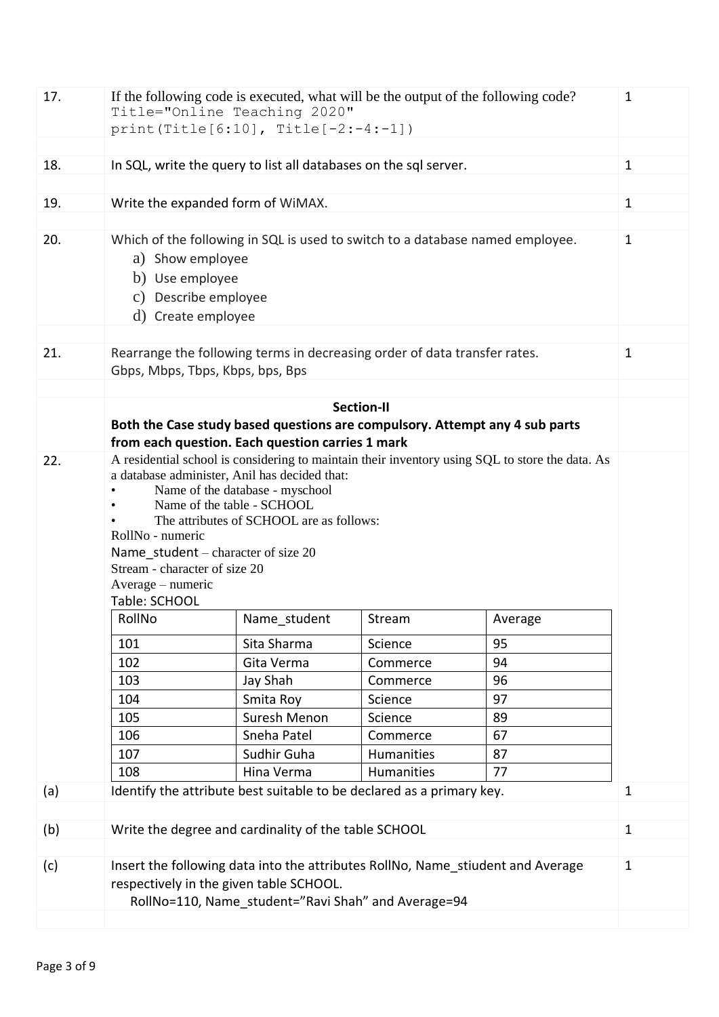| 17. | If the following code is executed, what will be the output of the following code?<br>Title="Online Teaching 2020"                                                                                                                                                                                                                                                                               |              |                   |         |              |  |  |  |  |  |
|-----|-------------------------------------------------------------------------------------------------------------------------------------------------------------------------------------------------------------------------------------------------------------------------------------------------------------------------------------------------------------------------------------------------|--------------|-------------------|---------|--------------|--|--|--|--|--|
|     | $print(Title[6:10], Title[-2:-4:-1])$                                                                                                                                                                                                                                                                                                                                                           |              |                   |         |              |  |  |  |  |  |
|     |                                                                                                                                                                                                                                                                                                                                                                                                 |              |                   |         | $\mathbf{1}$ |  |  |  |  |  |
| 18. | In SQL, write the query to list all databases on the sql server.                                                                                                                                                                                                                                                                                                                                |              |                   |         |              |  |  |  |  |  |
| 19. | Write the expanded form of WiMAX.                                                                                                                                                                                                                                                                                                                                                               |              |                   |         |              |  |  |  |  |  |
|     |                                                                                                                                                                                                                                                                                                                                                                                                 |              |                   |         |              |  |  |  |  |  |
| 20. | Which of the following in SQL is used to switch to a database named employee.<br>a) Show employee<br>b) Use employee<br>c) Describe employee<br>d) Create employee                                                                                                                                                                                                                              |              |                   |         |              |  |  |  |  |  |
| 21. | Rearrange the following terms in decreasing order of data transfer rates.<br>Gbps, Mbps, Tbps, Kbps, bps, Bps                                                                                                                                                                                                                                                                                   |              |                   |         |              |  |  |  |  |  |
|     |                                                                                                                                                                                                                                                                                                                                                                                                 |              |                   |         |              |  |  |  |  |  |
|     |                                                                                                                                                                                                                                                                                                                                                                                                 |              | <b>Section-II</b> |         |              |  |  |  |  |  |
|     | Both the Case study based questions are compulsory. Attempt any 4 sub parts<br>from each question. Each question carries 1 mark                                                                                                                                                                                                                                                                 |              |                   |         |              |  |  |  |  |  |
| 22. | A residential school is considering to maintain their inventory using SQL to store the data. As<br>a database administer, Anil has decided that:<br>Name of the database - myschool<br>Name of the table - SCHOOL<br>The attributes of SCHOOL are as follows:<br>RollNo - numeric<br>Name student - character of size 20<br>Stream - character of size 20<br>Average - numeric<br>Table: SCHOOL |              |                   |         |              |  |  |  |  |  |
|     | RollNo                                                                                                                                                                                                                                                                                                                                                                                          | Name student | Stream            | Average |              |  |  |  |  |  |
|     | 101                                                                                                                                                                                                                                                                                                                                                                                             | Sita Sharma  | Science           | 95      |              |  |  |  |  |  |
|     | 102                                                                                                                                                                                                                                                                                                                                                                                             | Gita Verma   | Commerce          | 94      |              |  |  |  |  |  |
|     | 103                                                                                                                                                                                                                                                                                                                                                                                             | Jay Shah     | Commerce          | 96      |              |  |  |  |  |  |
|     | 104                                                                                                                                                                                                                                                                                                                                                                                             | Smita Roy    | Science           | 97      |              |  |  |  |  |  |
|     | 105                                                                                                                                                                                                                                                                                                                                                                                             | Suresh Menon | Science           | 89      |              |  |  |  |  |  |
|     | 106                                                                                                                                                                                                                                                                                                                                                                                             | Sneha Patel  | Commerce          | 67      |              |  |  |  |  |  |
|     | 107                                                                                                                                                                                                                                                                                                                                                                                             | Sudhir Guha  | Humanities        | 87      |              |  |  |  |  |  |
|     | 108                                                                                                                                                                                                                                                                                                                                                                                             | Hina Verma   | Humanities        | 77      |              |  |  |  |  |  |
| (a) | Identify the attribute best suitable to be declared as a primary key.                                                                                                                                                                                                                                                                                                                           |              |                   |         | $\mathbf{1}$ |  |  |  |  |  |
|     |                                                                                                                                                                                                                                                                                                                                                                                                 |              |                   |         |              |  |  |  |  |  |
| (b) | Write the degree and cardinality of the table SCHOOL                                                                                                                                                                                                                                                                                                                                            |              |                   |         | $\mathbf{1}$ |  |  |  |  |  |
| (c) | Insert the following data into the attributes RollNo, Name stiudent and Average<br>respectively in the given table SCHOOL.<br>RollNo=110, Name student="Ravi Shah" and Average=94                                                                                                                                                                                                               |              |                   |         |              |  |  |  |  |  |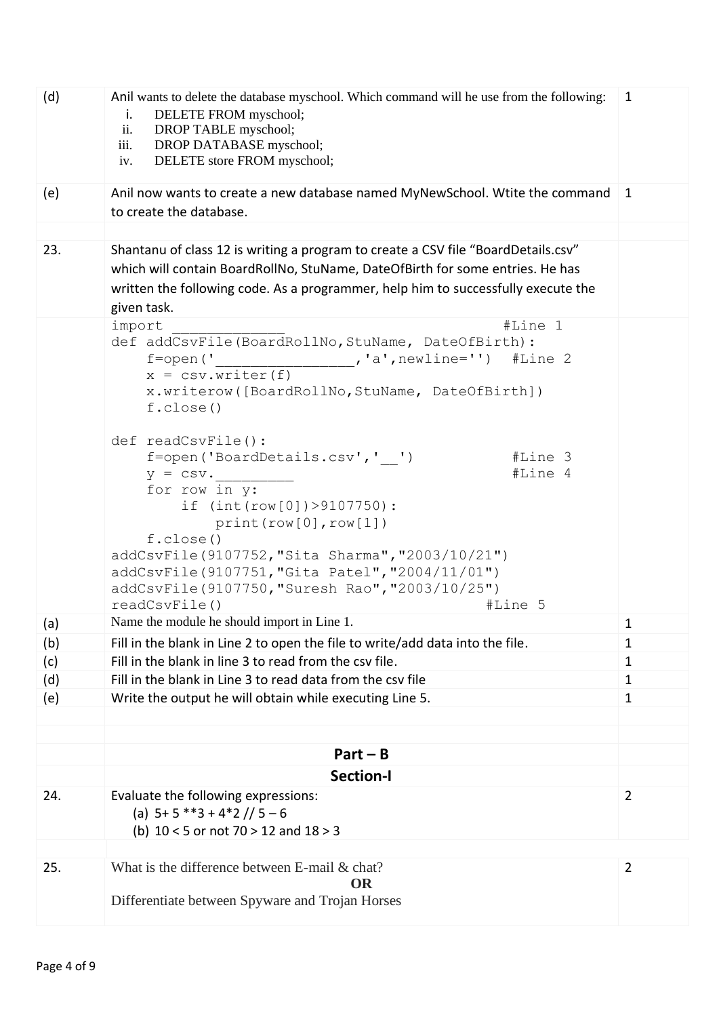| (d) | Anil wants to delete the database myschool. Which command will he use from the following:<br>DELETE FROM myschool;<br>i.<br>DROP TABLE myschool;<br>ii.<br>iii.<br>DROP DATABASE myschool;<br>DELETE store FROM myschool;<br>iv.                                                                                                                                                                                                                                                                                                                                                                             |                |  |  |  |  |  |
|-----|--------------------------------------------------------------------------------------------------------------------------------------------------------------------------------------------------------------------------------------------------------------------------------------------------------------------------------------------------------------------------------------------------------------------------------------------------------------------------------------------------------------------------------------------------------------------------------------------------------------|----------------|--|--|--|--|--|
| (e) | Anil now wants to create a new database named MyNewSchool. Wtite the command<br>to create the database.                                                                                                                                                                                                                                                                                                                                                                                                                                                                                                      | $\mathbf{1}$   |  |  |  |  |  |
|     |                                                                                                                                                                                                                                                                                                                                                                                                                                                                                                                                                                                                              |                |  |  |  |  |  |
| 23. | Shantanu of class 12 is writing a program to create a CSV file "BoardDetails.csv"<br>which will contain BoardRollNo, StuName, DateOfBirth for some entries. He has<br>written the following code. As a programmer, help him to successfully execute the<br>given task.                                                                                                                                                                                                                                                                                                                                       |                |  |  |  |  |  |
|     | #Line 1<br>import<br>def addCsvFile(BoardRollNo, StuName, DateOfBirth):<br>$, 'a', newline='')$<br>$f = open('$<br>#Line 2<br>$x = \text{csv.write}(f)$<br>x.writerow([BoardRollNo, StuName, DateOfBirth])<br>f.close()<br>def readCsvFile():<br>f=open('BoardDetails.csv',' ')<br>#Line 3<br>#Line 4<br>$y = \text{csv}$ .<br>for row in y:<br>if $(int (row [0]) > 9107750)$ :<br>print(row[0], row[1])<br>f.close()<br>addCsvFile(9107752, "Sita Sharma", "2003/10/21")<br>addCsvFile(9107751, "Gita Patel", "2004/11/01")<br>addCsvFile(9107750, "Suresh Rao", "2003/10/25")<br>readCsvFile()<br>#Line 5 |                |  |  |  |  |  |
| (a) | Name the module he should import in Line 1.                                                                                                                                                                                                                                                                                                                                                                                                                                                                                                                                                                  | $\mathbf{1}$   |  |  |  |  |  |
| (b) | Fill in the blank in Line 2 to open the file to write/add data into the file.                                                                                                                                                                                                                                                                                                                                                                                                                                                                                                                                | 1              |  |  |  |  |  |
| (c) | Fill in the blank in line 3 to read from the csy file.                                                                                                                                                                                                                                                                                                                                                                                                                                                                                                                                                       | $\mathbf{1}$   |  |  |  |  |  |
| (d) | Fill in the blank in Line 3 to read data from the csy file                                                                                                                                                                                                                                                                                                                                                                                                                                                                                                                                                   | $\mathbf{1}$   |  |  |  |  |  |
| (e) | Write the output he will obtain while executing Line 5.                                                                                                                                                                                                                                                                                                                                                                                                                                                                                                                                                      | $\mathbf{1}$   |  |  |  |  |  |
|     | $Part - B$                                                                                                                                                                                                                                                                                                                                                                                                                                                                                                                                                                                                   |                |  |  |  |  |  |
|     | <b>Section-I</b>                                                                                                                                                                                                                                                                                                                                                                                                                                                                                                                                                                                             |                |  |  |  |  |  |
|     |                                                                                                                                                                                                                                                                                                                                                                                                                                                                                                                                                                                                              |                |  |  |  |  |  |
| 24. | Evaluate the following expressions:<br>(a) $5+5$ **3 + 4*2 // $5-6$<br>(b) $10 < 5$ or not 70 > 12 and $18 > 3$                                                                                                                                                                                                                                                                                                                                                                                                                                                                                              | $\overline{2}$ |  |  |  |  |  |
|     |                                                                                                                                                                                                                                                                                                                                                                                                                                                                                                                                                                                                              |                |  |  |  |  |  |
| 25. | What is the difference between E-mail & chat?<br><b>OR</b><br>Differentiate between Spyware and Trojan Horses                                                                                                                                                                                                                                                                                                                                                                                                                                                                                                | $\overline{2}$ |  |  |  |  |  |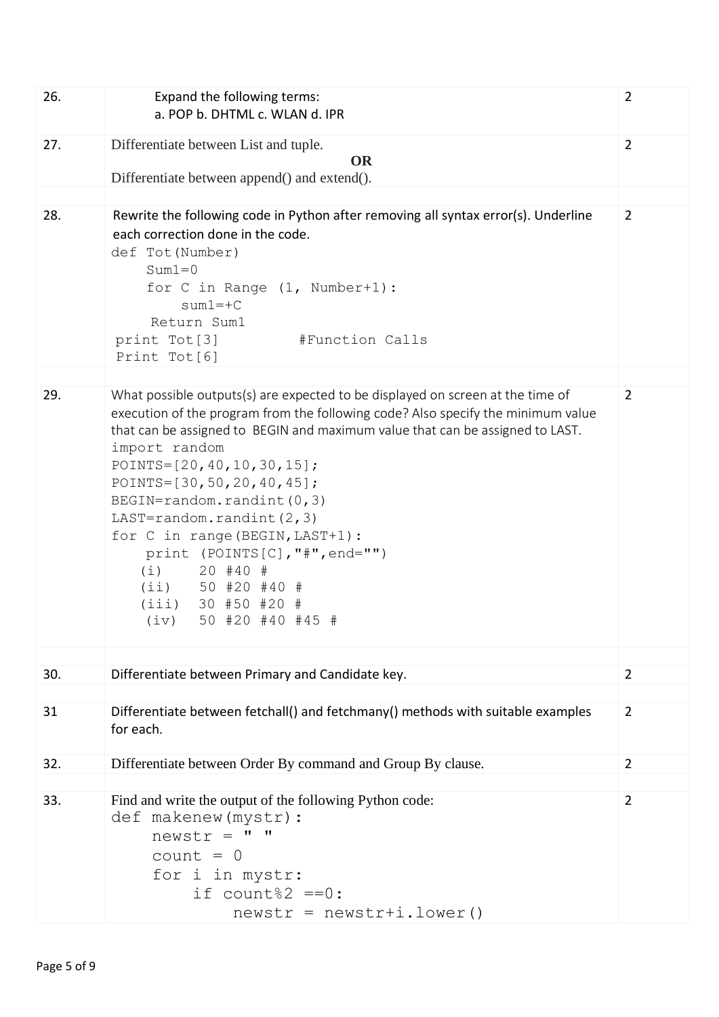| $\overline{2}$                                                                                                                                                                                                                                                        |
|-----------------------------------------------------------------------------------------------------------------------------------------------------------------------------------------------------------------------------------------------------------------------|
|                                                                                                                                                                                                                                                                       |
|                                                                                                                                                                                                                                                                       |
| Rewrite the following code in Python after removing all syntax error(s). Underline<br>$\overline{2}$                                                                                                                                                                  |
| What possible outputs(s) are expected to be displayed on screen at the time of<br>$\overline{2}$<br>execution of the program from the following code? Also specify the minimum value<br>that can be assigned to BEGIN and maximum value that can be assigned to LAST. |
| $\overline{2}$                                                                                                                                                                                                                                                        |
|                                                                                                                                                                                                                                                                       |
| Differentiate between fetchall() and fetchmany() methods with suitable examples<br>$\overline{2}$                                                                                                                                                                     |
| $\overline{2}$                                                                                                                                                                                                                                                        |
| $\overline{2}$                                                                                                                                                                                                                                                        |
|                                                                                                                                                                                                                                                                       |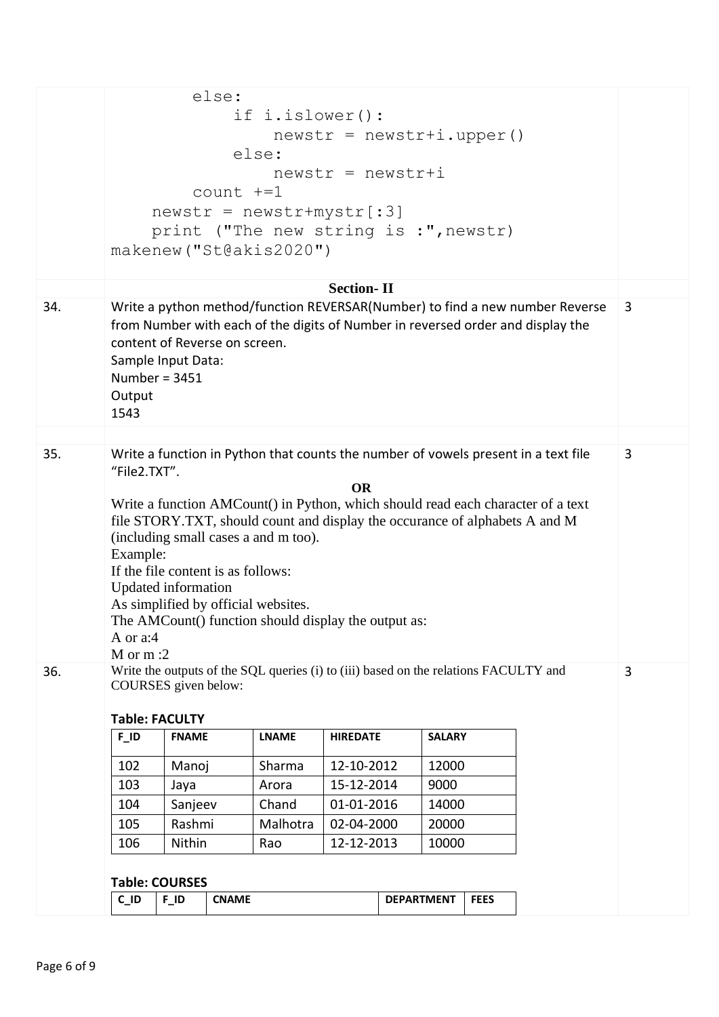|     | else:<br>if i.islower():<br>$newstr = newstr + i.upper()$<br>else:<br>$newstr = newstr + i$<br>$count$ $+=1$<br>$newstr = newstr+mystr[:3]$<br>print ("The new string is :", newstr)<br>makenew ("St@akis2020")<br><b>Section-II</b>                                                                                                                                                                                                                                                                                           |         |  |          |            |  |       |  |  |   |   |
|-----|--------------------------------------------------------------------------------------------------------------------------------------------------------------------------------------------------------------------------------------------------------------------------------------------------------------------------------------------------------------------------------------------------------------------------------------------------------------------------------------------------------------------------------|---------|--|----------|------------|--|-------|--|--|---|---|
| 34. | Write a python method/function REVERSAR(Number) to find a new number Reverse<br>from Number with each of the digits of Number in reversed order and display the<br>content of Reverse on screen.<br>Sample Input Data:<br>Number = $3451$<br>Output<br>1543                                                                                                                                                                                                                                                                    |         |  |          |            |  |       |  |  |   | 3 |
| 35. | Write a function in Python that counts the number of vowels present in a text file<br>"File2.TXT".<br><b>OR</b><br>Write a function AMCount() in Python, which should read each character of a text<br>file STORY.TXT, should count and display the occurance of alphabets A and M<br>(including small cases a and m too).<br>Example:<br>If the file content is as follows:<br>Updated information<br>As simplified by official websites.<br>The AMCount() function should display the output as:<br>A or a:4<br>$M$ or $m:2$ |         |  |          |            |  |       |  |  |   | 3 |
| 36. | Write the outputs of the SQL queries (i) to (iii) based on the relations FACULTY and<br>COURSES given below:<br><b>Table: FACULTY</b><br><b>LNAME</b><br>$F$ <sup>ID</sup><br><b>FNAME</b><br><b>HIREDATE</b><br><b>SALARY</b>                                                                                                                                                                                                                                                                                                 |         |  |          |            |  |       |  |  | 3 |   |
|     |                                                                                                                                                                                                                                                                                                                                                                                                                                                                                                                                |         |  |          |            |  |       |  |  |   |   |
|     | 102                                                                                                                                                                                                                                                                                                                                                                                                                                                                                                                            | Manoj   |  | Sharma   | 12-10-2012 |  | 12000 |  |  |   |   |
|     | 103                                                                                                                                                                                                                                                                                                                                                                                                                                                                                                                            | Jaya    |  | Arora    | 15-12-2014 |  | 9000  |  |  |   |   |
|     | 104                                                                                                                                                                                                                                                                                                                                                                                                                                                                                                                            | Sanjeev |  | Chand    | 01-01-2016 |  | 14000 |  |  |   |   |
|     | 105                                                                                                                                                                                                                                                                                                                                                                                                                                                                                                                            | Rashmi  |  | Malhotra | 02-04-2000 |  | 20000 |  |  |   |   |
|     | Nithin<br>12-12-2013<br>10000<br>106<br>Rao                                                                                                                                                                                                                                                                                                                                                                                                                                                                                    |         |  |          |            |  |       |  |  |   |   |
|     |                                                                                                                                                                                                                                                                                                                                                                                                                                                                                                                                |         |  |          |            |  |       |  |  |   |   |
|     | <b>Table: COURSES</b>                                                                                                                                                                                                                                                                                                                                                                                                                                                                                                          |         |  |          |            |  |       |  |  |   |   |
|     | $C$ $ID$<br>$F$ ID<br><b>CNAME</b><br><b>DEPARTMENT</b><br><b>FEES</b>                                                                                                                                                                                                                                                                                                                                                                                                                                                         |         |  |          |            |  |       |  |  |   |   |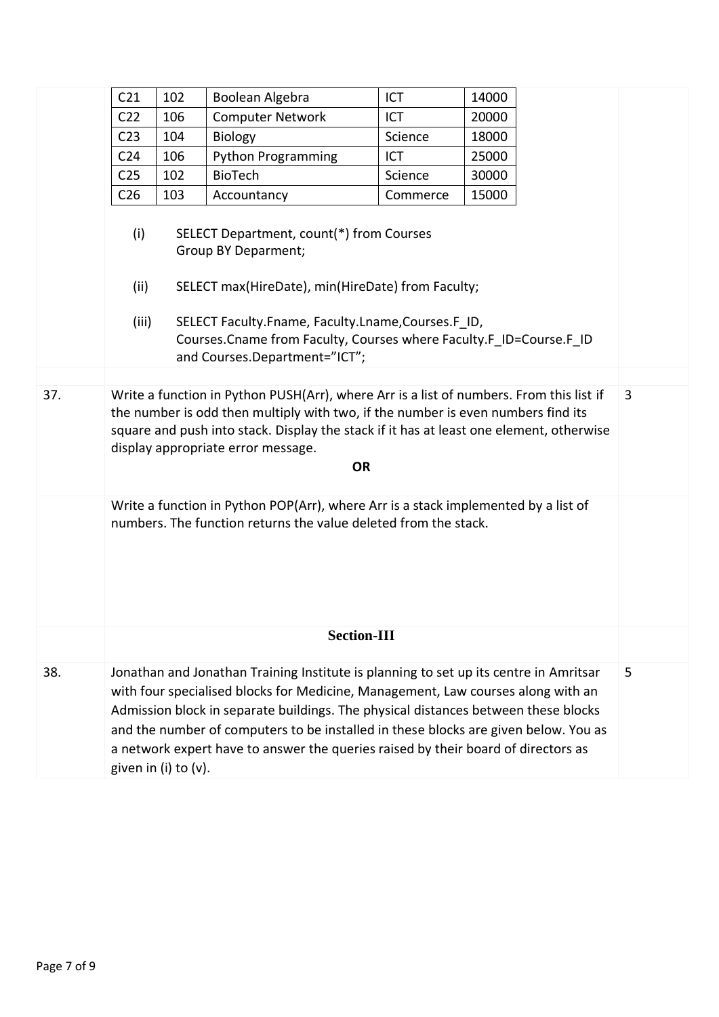|     | C <sub>21</sub>                                                                                                                                                                                                                                                                                                                                                                                                                                                          | 102 | Boolean Algebra                                                                                                            | ICT      | 14000 |  |  |  |  |  |  |
|-----|--------------------------------------------------------------------------------------------------------------------------------------------------------------------------------------------------------------------------------------------------------------------------------------------------------------------------------------------------------------------------------------------------------------------------------------------------------------------------|-----|----------------------------------------------------------------------------------------------------------------------------|----------|-------|--|--|--|--|--|--|
|     | C <sub>22</sub>                                                                                                                                                                                                                                                                                                                                                                                                                                                          | 106 | <b>Computer Network</b>                                                                                                    | ICT      | 20000 |  |  |  |  |  |  |
|     | C <sub>23</sub>                                                                                                                                                                                                                                                                                                                                                                                                                                                          | 104 | <b>Biology</b>                                                                                                             | Science  | 18000 |  |  |  |  |  |  |
|     | C <sub>24</sub>                                                                                                                                                                                                                                                                                                                                                                                                                                                          | 106 | <b>Python Programming</b>                                                                                                  | ICT      | 25000 |  |  |  |  |  |  |
|     | C <sub>25</sub>                                                                                                                                                                                                                                                                                                                                                                                                                                                          | 102 | <b>BioTech</b>                                                                                                             | Science  | 30000 |  |  |  |  |  |  |
|     | C <sub>26</sub>                                                                                                                                                                                                                                                                                                                                                                                                                                                          | 103 | Accountancy                                                                                                                | Commerce | 15000 |  |  |  |  |  |  |
|     | SELECT Department, count(*) from Courses<br>(i)<br><b>Group BY Deparment;</b>                                                                                                                                                                                                                                                                                                                                                                                            |     |                                                                                                                            |          |       |  |  |  |  |  |  |
|     | (ii)                                                                                                                                                                                                                                                                                                                                                                                                                                                                     |     | SELECT max(HireDate), min(HireDate) from Faculty;                                                                          |          |       |  |  |  |  |  |  |
|     |                                                                                                                                                                                                                                                                                                                                                                                                                                                                          |     |                                                                                                                            |          |       |  |  |  |  |  |  |
|     | (iii)                                                                                                                                                                                                                                                                                                                                                                                                                                                                    |     | SELECT Faculty.Fname, Faculty.Lname,Courses.F ID,<br>Courses. Cname from Faculty, Courses where Faculty. F_ID=Course. F_ID |          |       |  |  |  |  |  |  |
|     |                                                                                                                                                                                                                                                                                                                                                                                                                                                                          |     | and Courses.Department="ICT";                                                                                              |          |       |  |  |  |  |  |  |
|     |                                                                                                                                                                                                                                                                                                                                                                                                                                                                          |     |                                                                                                                            |          |       |  |  |  |  |  |  |
| 37. | Write a function in Python PUSH(Arr), where Arr is a list of numbers. From this list if<br>3<br>the number is odd then multiply with two, if the number is even numbers find its<br>square and push into stack. Display the stack if it has at least one element, otherwise<br>display appropriate error message.<br><b>OR</b>                                                                                                                                           |     |                                                                                                                            |          |       |  |  |  |  |  |  |
|     | Write a function in Python POP(Arr), where Arr is a stack implemented by a list of<br>numbers. The function returns the value deleted from the stack.                                                                                                                                                                                                                                                                                                                    |     |                                                                                                                            |          |       |  |  |  |  |  |  |
|     | <b>Section-III</b>                                                                                                                                                                                                                                                                                                                                                                                                                                                       |     |                                                                                                                            |          |       |  |  |  |  |  |  |
| 38. | 5<br>Jonathan and Jonathan Training Institute is planning to set up its centre in Amritsar<br>with four specialised blocks for Medicine, Management, Law courses along with an<br>Admission block in separate buildings. The physical distances between these blocks<br>and the number of computers to be installed in these blocks are given below. You as<br>a network expert have to answer the queries raised by their board of directors as<br>given in (i) to (v). |     |                                                                                                                            |          |       |  |  |  |  |  |  |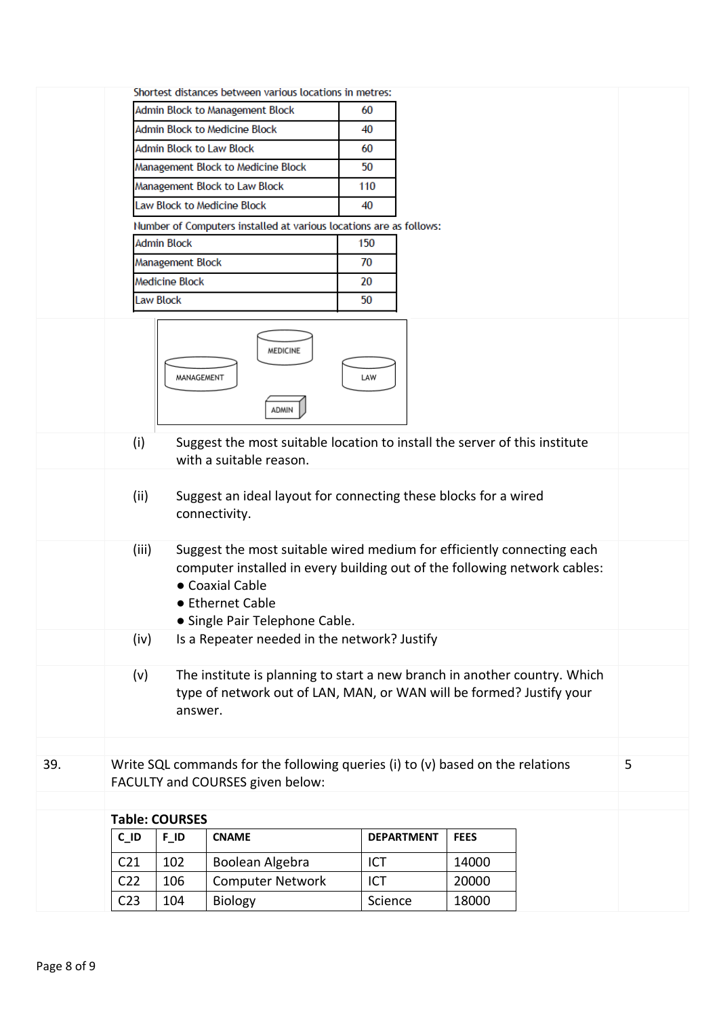|     | Shortest distances between various locations in metres:                                                                                                                                                                              |                       |                                                                                                                    |                   |             |  |   |  |  |  |
|-----|--------------------------------------------------------------------------------------------------------------------------------------------------------------------------------------------------------------------------------------|-----------------------|--------------------------------------------------------------------------------------------------------------------|-------------------|-------------|--|---|--|--|--|
|     |                                                                                                                                                                                                                                      |                       | Admin Block to Management Block                                                                                    | 60                |             |  |   |  |  |  |
|     |                                                                                                                                                                                                                                      |                       | <b>Admin Block to Medicine Block</b>                                                                               | 40                |             |  |   |  |  |  |
|     |                                                                                                                                                                                                                                      |                       | <b>Admin Block to Law Block</b>                                                                                    | 60                |             |  |   |  |  |  |
|     |                                                                                                                                                                                                                                      |                       | Management Block to Medicine Block                                                                                 | 50                |             |  |   |  |  |  |
|     |                                                                                                                                                                                                                                      |                       | Management Block to Law Block                                                                                      | 110               |             |  |   |  |  |  |
|     |                                                                                                                                                                                                                                      |                       | Law Block to Medicine Block                                                                                        | 40                |             |  |   |  |  |  |
|     |                                                                                                                                                                                                                                      |                       | Number of Computers installed at various locations are as follows:                                                 |                   |             |  |   |  |  |  |
|     |                                                                                                                                                                                                                                      | <b>Admin Block</b>    |                                                                                                                    | 150               |             |  |   |  |  |  |
|     |                                                                                                                                                                                                                                      | Management Block      |                                                                                                                    | 70                |             |  |   |  |  |  |
|     |                                                                                                                                                                                                                                      | <b>Medicine Block</b> |                                                                                                                    | 20                |             |  |   |  |  |  |
|     |                                                                                                                                                                                                                                      | Law Block             |                                                                                                                    | 50                |             |  |   |  |  |  |
|     | <b>MEDICINE</b><br>MANAGEMENT<br>LAW<br>ADMIN                                                                                                                                                                                        |                       |                                                                                                                    |                   |             |  |   |  |  |  |
|     | (i)                                                                                                                                                                                                                                  |                       | Suggest the most suitable location to install the server of this institute<br>with a suitable reason.              |                   |             |  |   |  |  |  |
|     | Suggest an ideal layout for connecting these blocks for a wired<br>(ii)<br>connectivity.                                                                                                                                             |                       |                                                                                                                    |                   |             |  |   |  |  |  |
|     | Suggest the most suitable wired medium for efficiently connecting each<br>(iii)<br>computer installed in every building out of the following network cables:<br>• Coaxial Cable<br>● Ethernet Cable<br>• Single Pair Telephone Cable |                       |                                                                                                                    |                   |             |  |   |  |  |  |
|     | (iv)                                                                                                                                                                                                                                 |                       | Is a Repeater needed in the network? Justify                                                                       |                   |             |  |   |  |  |  |
|     | The institute is planning to start a new branch in another country. Which<br>(v)<br>type of network out of LAN, MAN, or WAN will be formed? Justify your<br>answer.                                                                  |                       |                                                                                                                    |                   |             |  |   |  |  |  |
|     |                                                                                                                                                                                                                                      |                       |                                                                                                                    |                   |             |  |   |  |  |  |
| 39. |                                                                                                                                                                                                                                      |                       | Write SQL commands for the following queries (i) to (v) based on the relations<br>FACULTY and COURSES given below: |                   |             |  | 5 |  |  |  |
|     |                                                                                                                                                                                                                                      |                       |                                                                                                                    |                   |             |  |   |  |  |  |
|     |                                                                                                                                                                                                                                      | <b>Table: COURSES</b> |                                                                                                                    |                   |             |  |   |  |  |  |
|     | $C$ $ID$                                                                                                                                                                                                                             | $F_l$ ID              | <b>CNAME</b>                                                                                                       | <b>DEPARTMENT</b> | <b>FEES</b> |  |   |  |  |  |
|     | C <sub>21</sub>                                                                                                                                                                                                                      | 102                   | Boolean Algebra                                                                                                    | ICT               | 14000       |  |   |  |  |  |
|     | C <sub>22</sub>                                                                                                                                                                                                                      | 106                   | <b>Computer Network</b>                                                                                            | ICT               | 20000       |  |   |  |  |  |
|     | C <sub>23</sub>                                                                                                                                                                                                                      | 104                   | Biology                                                                                                            | Science           | 18000       |  |   |  |  |  |
|     |                                                                                                                                                                                                                                      |                       |                                                                                                                    |                   |             |  |   |  |  |  |